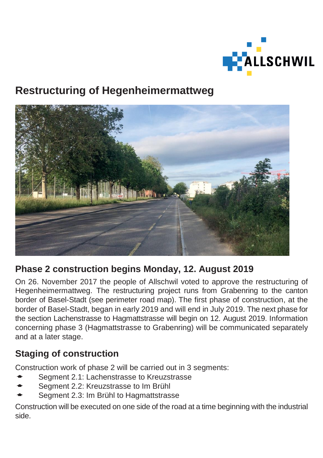

# **Restructuring of Hegenheimermattweg**



# **Phase 2 construction begins Monday, 12. August 2019**

On 26. November 2017 the people of Allschwil voted to approve the restructuring of Hegenheimermattweg. The restructuring project runs from Grabenring to the canton border of Basel-Stadt (see perimeter road map). The first phase of construction, at the border of Basel-Stadt, began in early 2019 and will end in July 2019. The next phase for the section Lachenstrasse to Hagmattstrasse will begin on 12. August 2019. Information concerning phase 3 (Hagmattstrasse to Grabenring) will be communicated separately and at a later stage.

## **Staging of construction**

Construction work of phase 2 will be carried out in 3 segments:

- Segment 2.1: Lachenstrasse to Kreuzstrasse
- Segment 2.2: Kreuzstrasse to Im Brühl
- Segment 2.3: Im Brühl to Hagmattstrasse

Construction will be executed on one side of the road at a time beginning with the industrial side.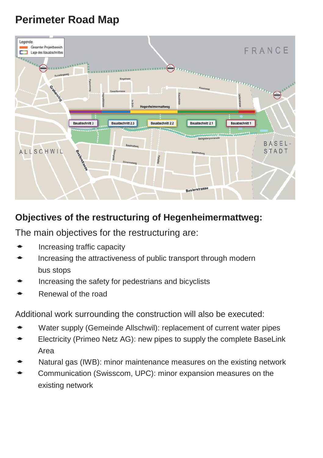# **Perimeter Road Map**



## **Objectives of the restructuring of Hegenheimermattweg:**

The main objectives for the restructuring are:

- Increasing traffic capacity
- Increasing the attractiveness of public transport through modern bus stops
- Increasing the safety for pedestrians and bicyclists
- Renewal of the road

Additional work surrounding the construction will also be executed:

- Water supply (Gemeinde Allschwil): replacement of current water pipes
- Electricity (Primeo Netz AG): new pipes to supply the complete BaseLink Area
- Natural gas (IWB): minor maintenance measures on the existing network
- Communication (Swisscom, UPC): minor expansion measures on the existing network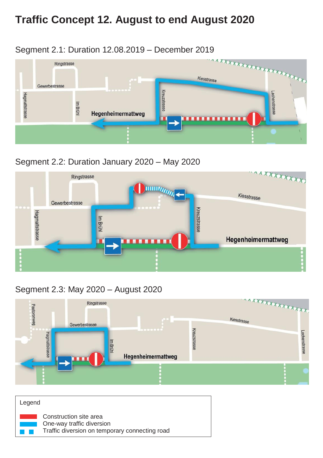# **Traffic Concept 12. August to end August 2020**



### Segment 2.2: Duration January 2020 – May 2020



### Segment 2.3: May 2020 – August 2020



| Legend |                                                                                                       |
|--------|-------------------------------------------------------------------------------------------------------|
|        | Construction site area<br>One-way traffic diversion<br>Traffic diversion on temporary connecting road |